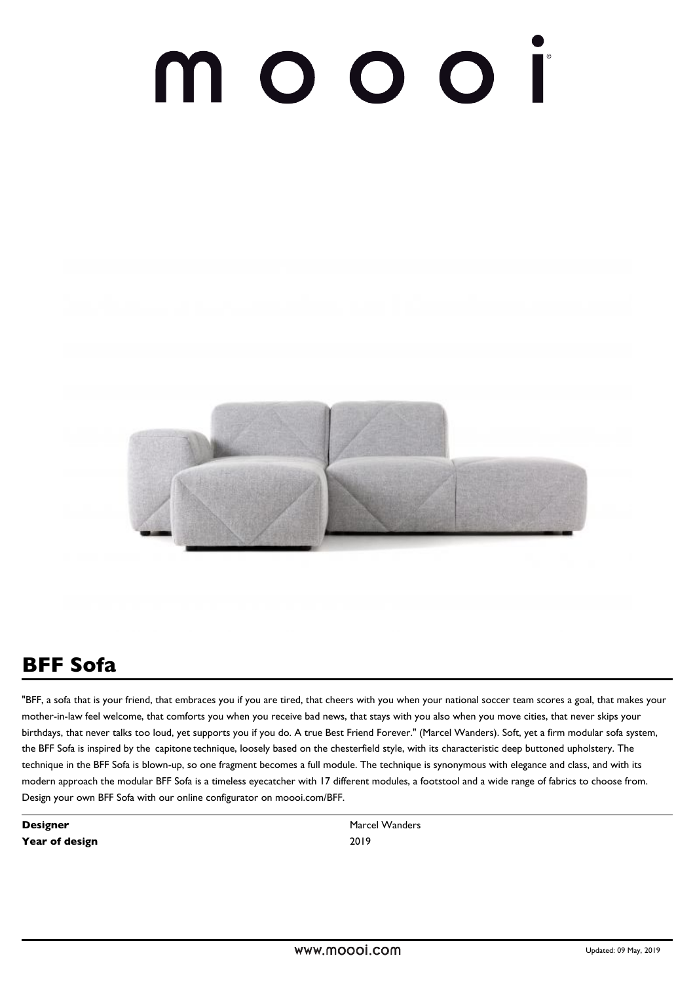# 000 I  $\bigcap$



# **BFF Sofa**

"BFF, a sofa that is your friend, that embraces you if you are tired, that cheers with you when your national soccer team scores a goal, that makes your mother-in-law feel welcome, that comforts you when you receive bad news, that stays with you also when you move cities, that never skips your birthdays, that never talks too loud, yet supports you if you do. A true Best Friend Forever." (Marcel Wanders). Soft, yet a firm modular sofa system, the BFF Sofa is inspired by the  capitone technique, loosely based on the chesterfield style, with its characteristic deep buttoned upholstery. The    technique in the BFF Sofa is blown-up, so one fragment becomes a full module. The technique is synonymous with elegance and class, and with its modern approach the modular BFF Sofa is a timeless eyecatcher with 17 different modules, a footstool and a wide range of fabrics to choose from. Design your own BFF Sofa with our online configurator on moooi.com/BFF.

**Designer** Marcel Wanders **Year of design 2019**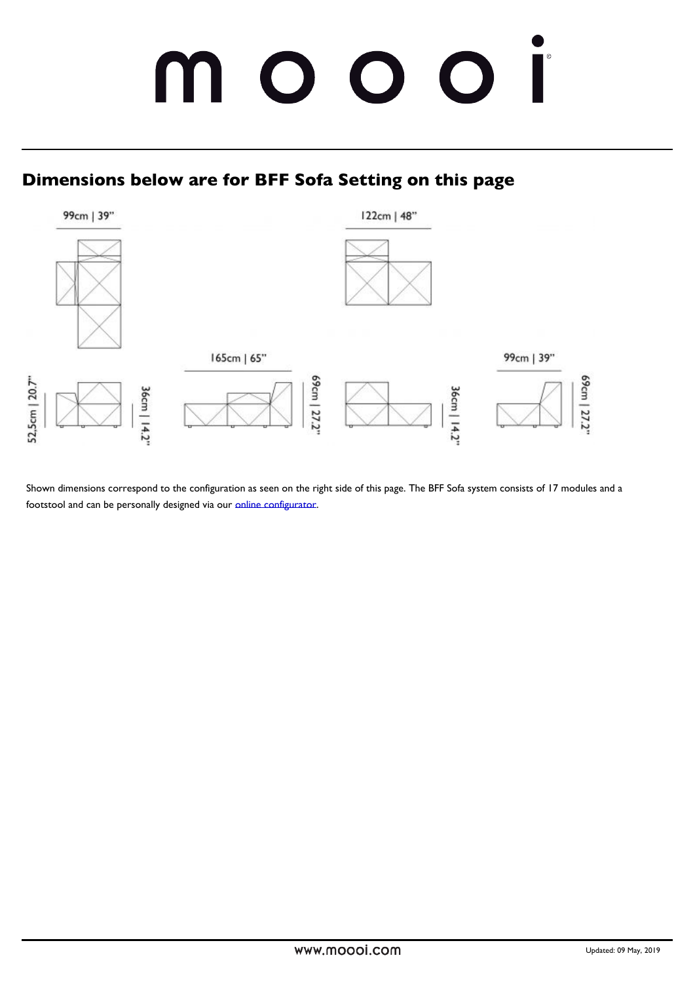Shown dimensions correspond to the configuration as seen on the right side of this page footstool and can be personally indestignation what or ur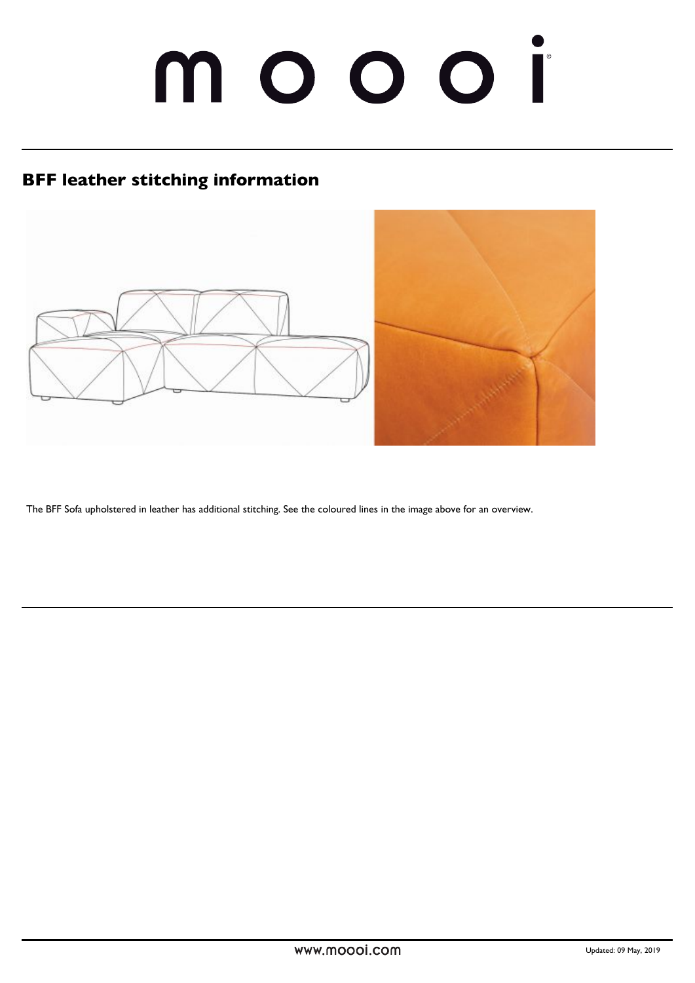# moooi

# **BFF leather stitching information**



The BFF Sofa upholstered in leather has additional stitching. See the coloured lines in the image above for an overview.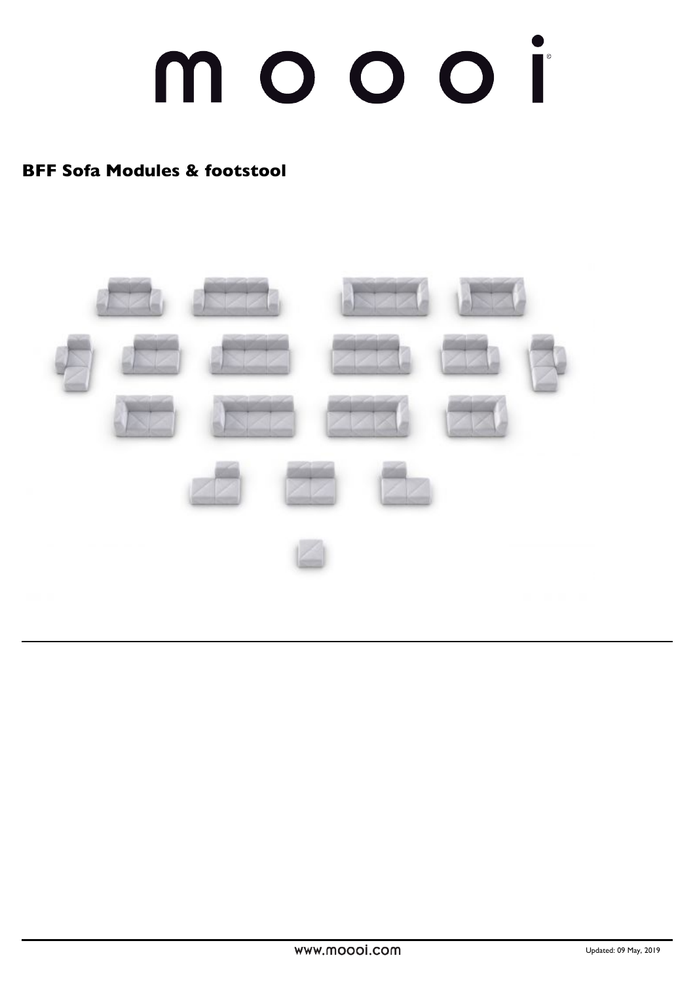# moooi

## **BFF Sofa Modules & footstool**

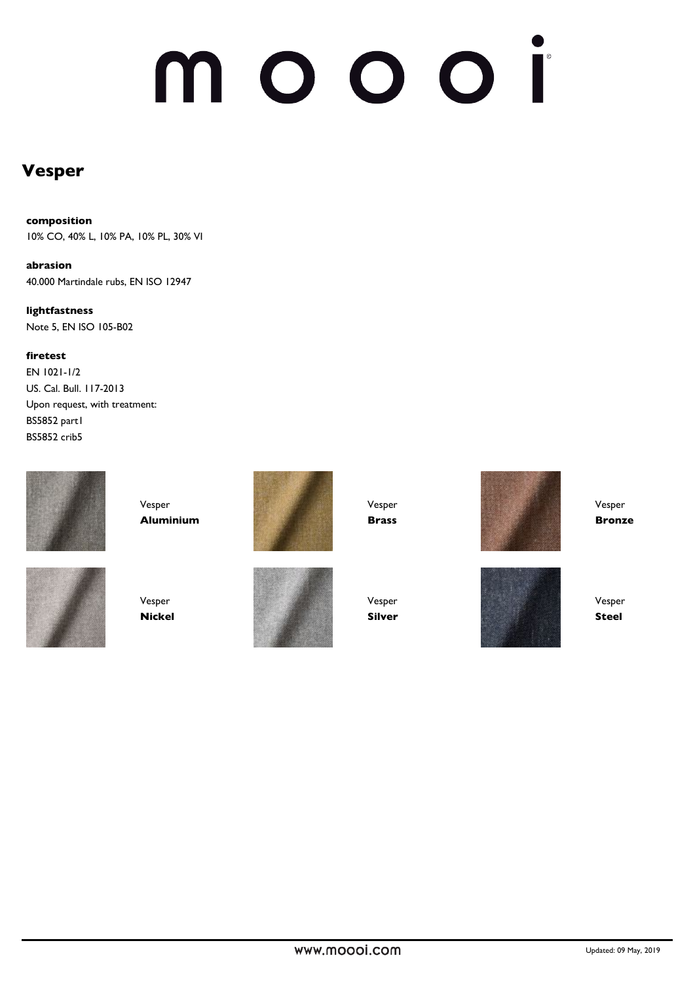# noooi n

## **Vesper**

#### **composition**

10% CO, 40% L, 10% PA, 10% PL, 30% VI

**abrasion** 40.000 Martindale rubs, EN ISO 12947

**lightfastness**  Note 5, EN ISO 105-B02

**firetest**

EN 1021-1/2 US. Cal. Bull. 117-2013 Upon request, with treatment: BS5852 part1 BS5852 crib5



Vesper **Aluminium**





Vesper **Nickel**



Vesper **Silver**

Vesper **Brass**



Vesper **Bronze**



Vesper **Steel**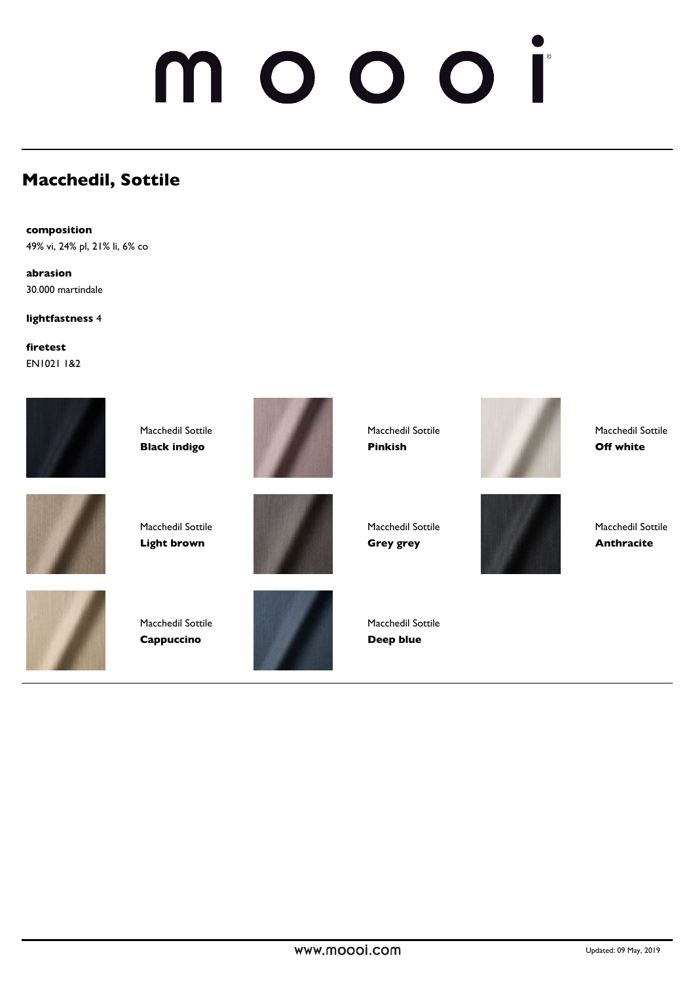# NO OO

# **Macchedil, Sottile**

**composition** 49% vi, 24% pl, 21% li, 6% co

**abrasion** 30.000 martindale

**lightfastness** 4

**firetest** EN1021 1&2



Macchedil Sottile **Black indigo**



Macchedil Sottile **Light brown**



Macchedil Sottile **Cappuccino**







Macchedil Sottile **Pinkish**

Macchedil Sottile **Grey grey**



Macchedil Sottile **Off white**

Macchedil Sottile **Anthracite**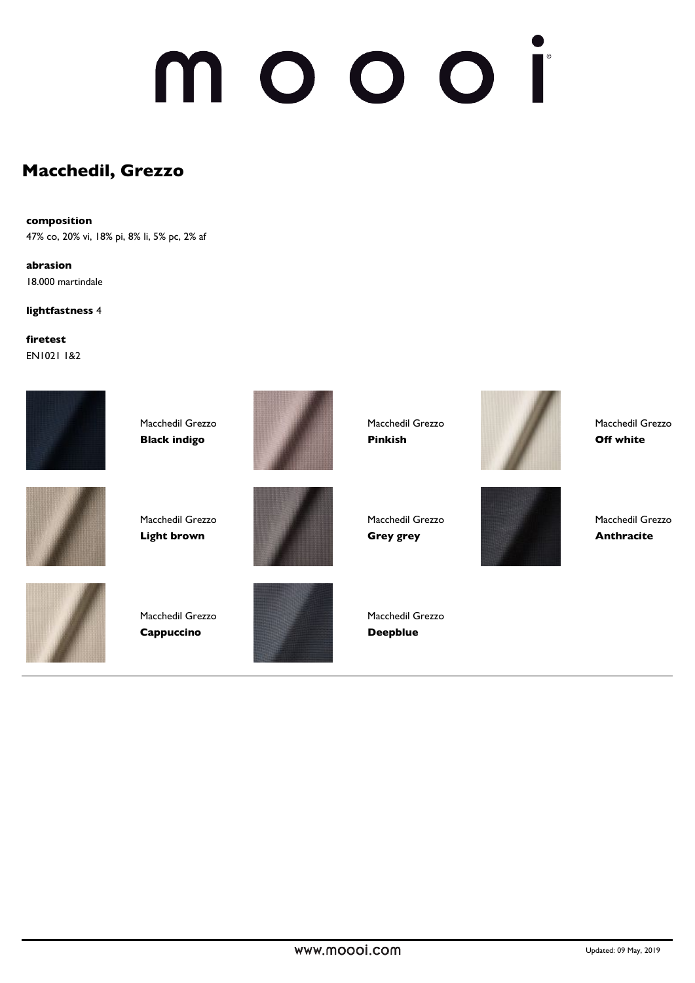# $\mathbf \Omega$

### **Macchedil, Grezzo**

#### **composition**

47% co, 20% vi, 18% pi, 8% li, 5% pc, 2% af

**abrasion** 18.000 martindale

**lightfastness** 4

**firetest** EN1021 1&2



Macchedil Grezzo **Black indigo**



Macchedil Grezzo **Pinkish**



Macchedil Grezzo **Off white**



Macchedil Grezzo **Light brown**





Macchedil Grezzo **Cappuccino**



Macchedil Grezzo **Deepblue**

Macchedil Grezzo **Grey grey**

Macchedil Grezzo **Anthracite**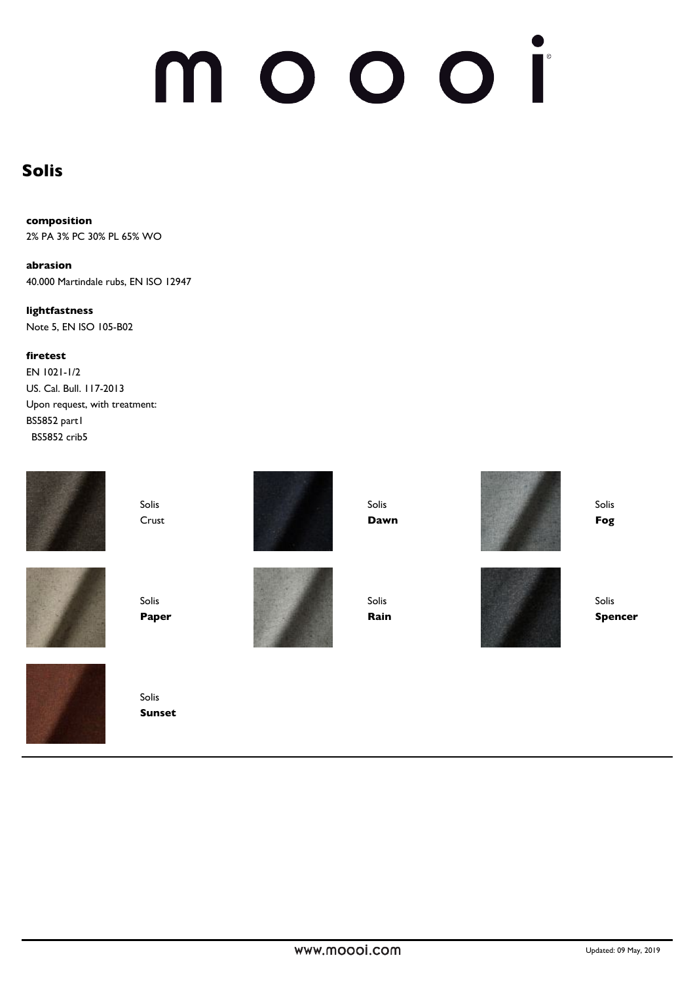# noooi n

### **Solis**

**composition** 2% PA 3% PC 30% PL 65% WO

**abrasion** 40.000 Martindale rubs, EN ISO 12947

**lightfastness**  Note 5, EN ISO 105-B02

**firetest**

EN 1021-1/2 US. Cal. Bull. 117-2013 Upon request, with treatment: BS5852 part1 BS5852 crib5



Solis Crust





Solis **Paper**



Solis **Sunset**

Solis **Dawn**

Solis **Rain**



Solis **Fog**

Solis **Spencer**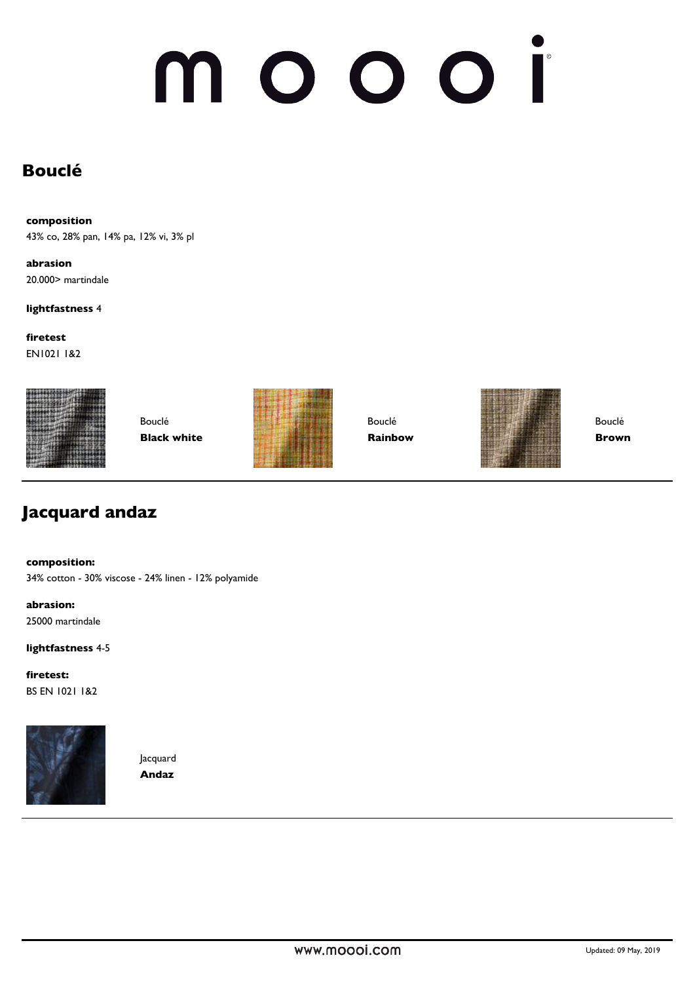# noooi n

# **Bouclé**

**composition**

43% co, 28% pan, 14% pa, 12% vi, 3% pl

**abrasion** 20.000> martindale

**lightfastness** 4

**firetest** EN1021 1&2



Bouclé **Black white**



Bouclé **Rainbow**



Bouclé **Brown**

## **Jacquard andaz**

**composition:**

34% cotton - 30% viscose - 24% linen - 12% polyamide

**abrasion:** 25000 martindale

**lightfastness** 4-5

**firetest:** BS EN 1021 1&2



Jacquard **Andaz**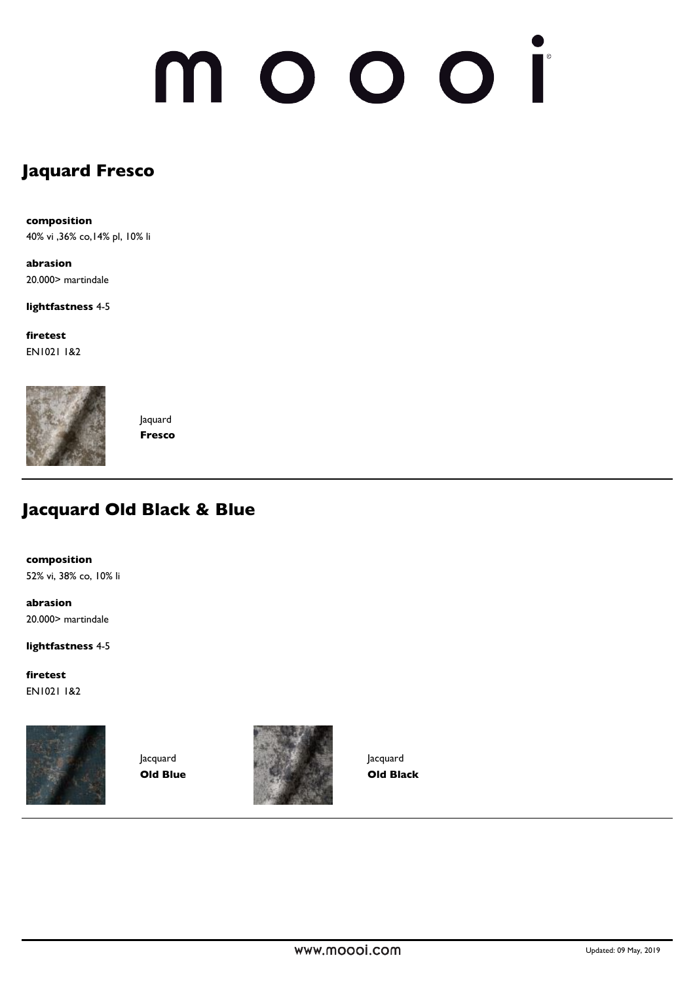# nooor  $\blacksquare$

# **Jaquard Fresco**

**composition** 40% vi ,36% co,14% pl, 10% li

**abrasion** 20.000> martindale

**lightfastness** 4-5

**firetest** EN1021 1&2



Jaquard **Fresco**

## **Jacquard Old Black & Blue**

**composition** 52% vi, 38% co, 10% li

**abrasion** 20.000> martindale

**lightfastness** 4-5

**firetest** EN1021 1&2



Jacquard **Old Blue**



Jacquard **Old Black**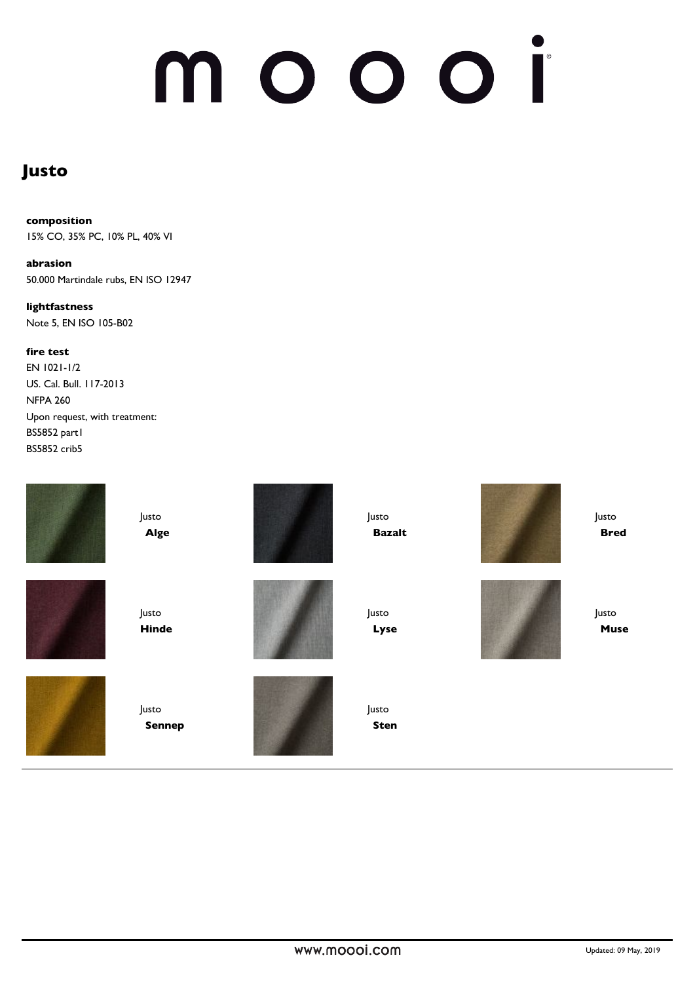# noooi N

## **Justo**

### **composition**

15% CO, 35% PC, 10% PL, 40% VI

**abrasion** 50.000 Martindale rubs, EN ISO 12947

**lightfastness**  Note 5, EN ISO 105-B02

#### **fire test**

EN 1021-1/2 US. Cal. Bull. 117-2013 NFPA 260 Upon request, with treatment: BS5852 part1 BS5852 crib5

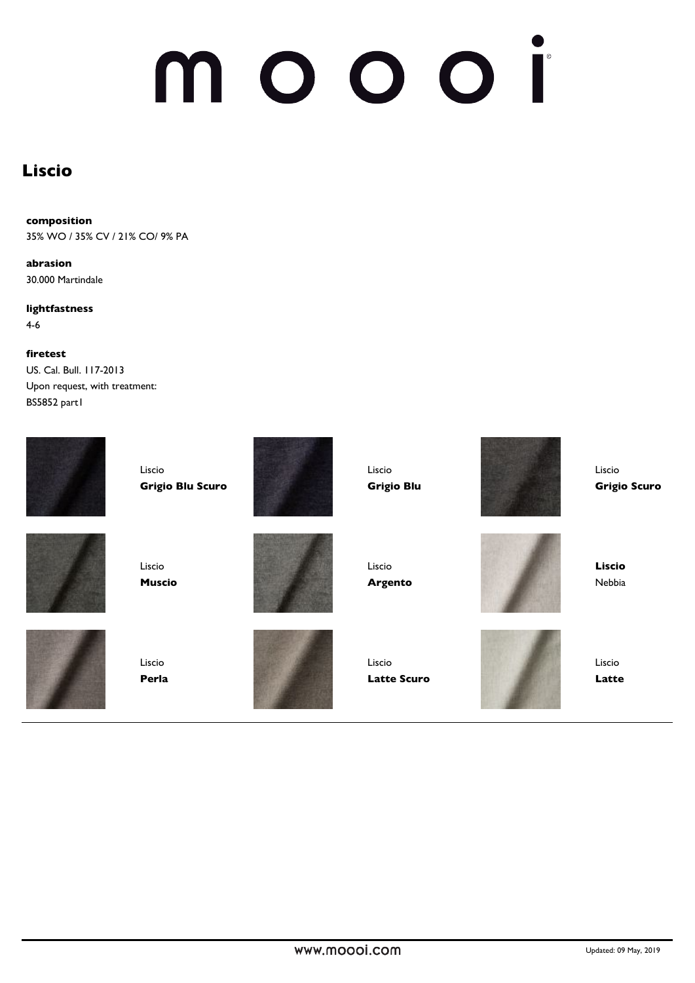# n

### **Liscio**

#### **composition**

35% WO / 35% CV / 21% CO/ 9% PA

**abrasion** 30.000 Martindale

**lightfastness**  4-6

#### **firetest**

US. Cal. Bull. 117-2013 Upon request, with treatment: BS5852 part1

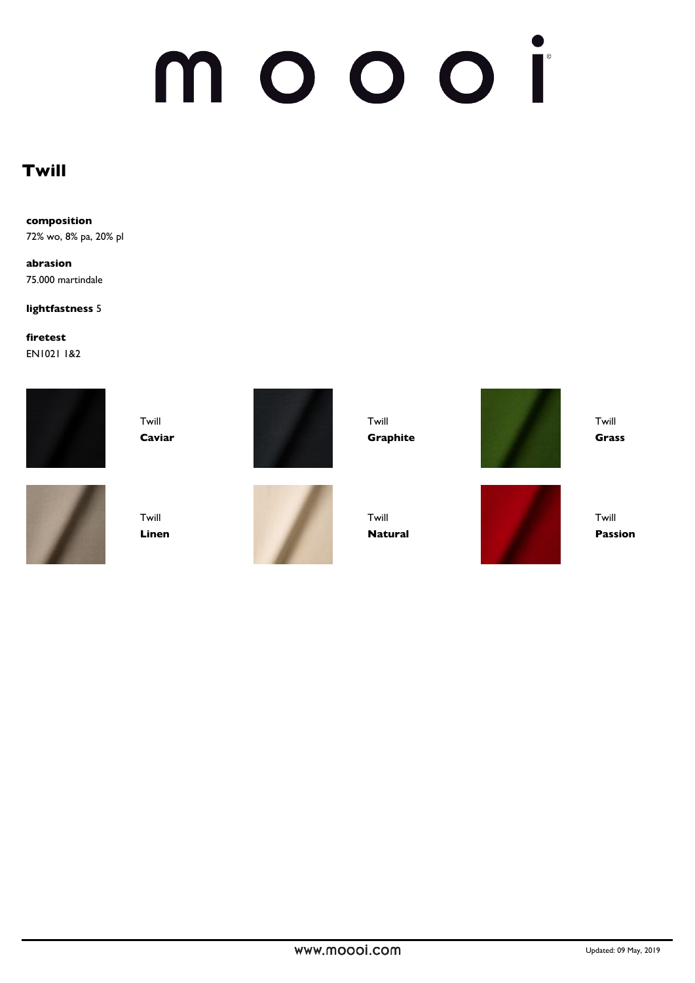# moooi

# **Twill**

**composition** 72% wo, 8% pa, 20% pl

**abrasion** 75.000 martindale

**lightfastness** 5

**firetest** EN1021 1&2



Twill **Caviar**



Twill **Linen**





Twill **Graphite**

Twill **Natural**

Twill **Grass**



Twill **Passion**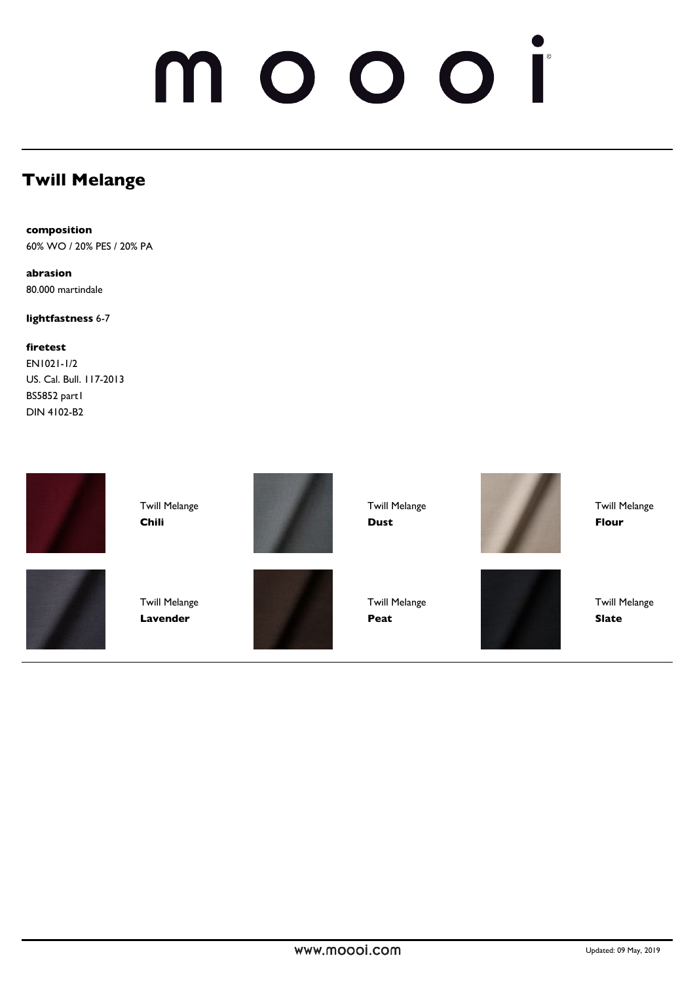# NO OO

# **Twill Melange**

**composition** 60% WO / 20% PES / 20% PA

**abrasion** 80.000 martindale

**lightfastness** 6-7

**firetest** EN1021-1/2 US. Cal. Bull. 117-2013 BS5852 part1 DIN 4102-B2



Twill Melange **Chili**





Twill Melange **Lavender**



Twill Melange **Dust**

**Peat**

Twill Melange



Twill Melange **Flour**

Twill Melange **Slate**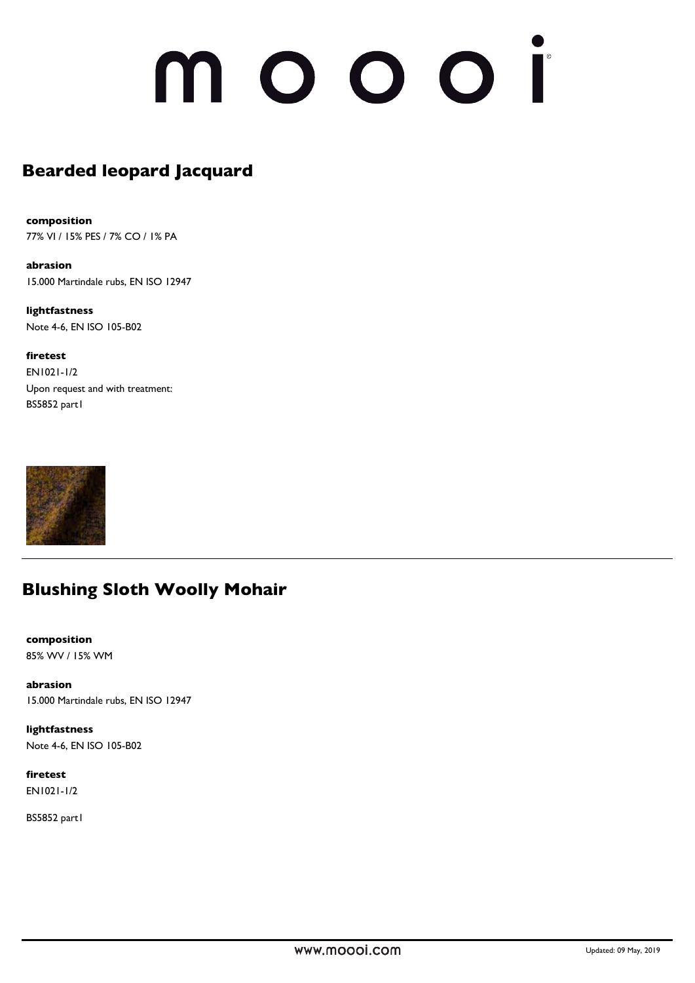# 10001

# **Bearded leopard Jacquard**

**composition** 77% VI / 15% PES / 7% CO / 1% PA

**abrasion** 15.000 Martindale rubs, EN ISO 12947

**lightfastness**  Note 4-6, EN ISO 105-B02

**firetest** EN1021-1/2 Upon request and with treatment: BS5852 part1



## **Blushing Sloth Woolly Mohair**

**composition** 85% WV / 15% WM

**abrasion** 15.000 Martindale rubs, EN ISO 12947

**lightfastness**  Note 4-6, EN ISO 105-B02

**firetest** EN1021-1/2

BS5852 part1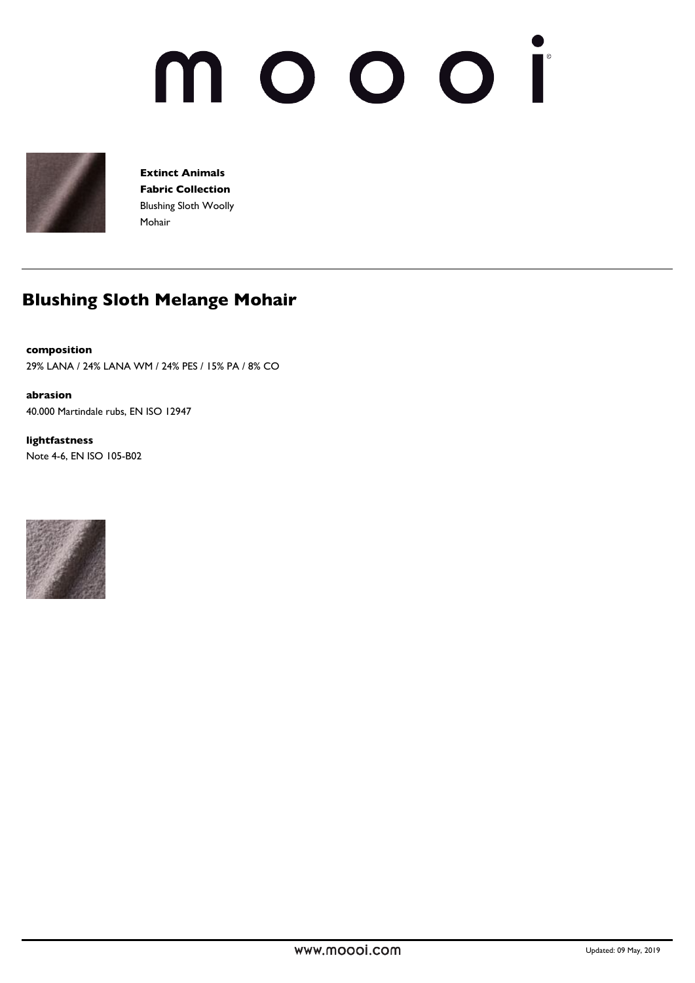# noooi N



**Extinct Animals Fabric Collection** Blushing Sloth Woolly Mohair

# **Blushing Sloth Melange Mohair**

#### **composition**

29% LANA / 24% LANA WM / 24% PES / 15% PA / 8% CO

**abrasion** 40.000 Martindale rubs, EN ISO 12947

**lightfastness**  Note 4-6, EN ISO 105-B02

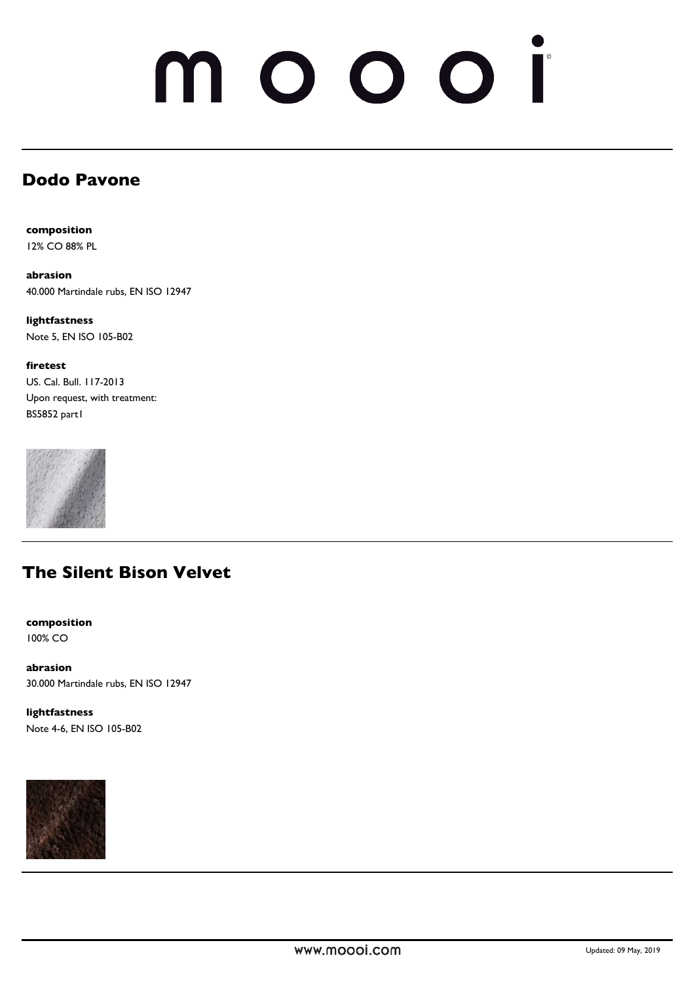# noooi  $\mathbf \Omega$

## **Dodo Pavone**

**composition** 12% CO 88% PL

**abrasion** 40.000 Martindale rubs, EN ISO 12947

**lightfastness**  Note 5, EN ISO 105-B02

**firetest** US. Cal. Bull. 117-2013 Upon request, with treatment: BS5852 part1



## **The Silent Bison Velvet**

**composition** 100% CO

**abrasion** 30.000 Martindale rubs, EN ISO 12947

**lightfastness**  Note 4-6, EN ISO 105-B02

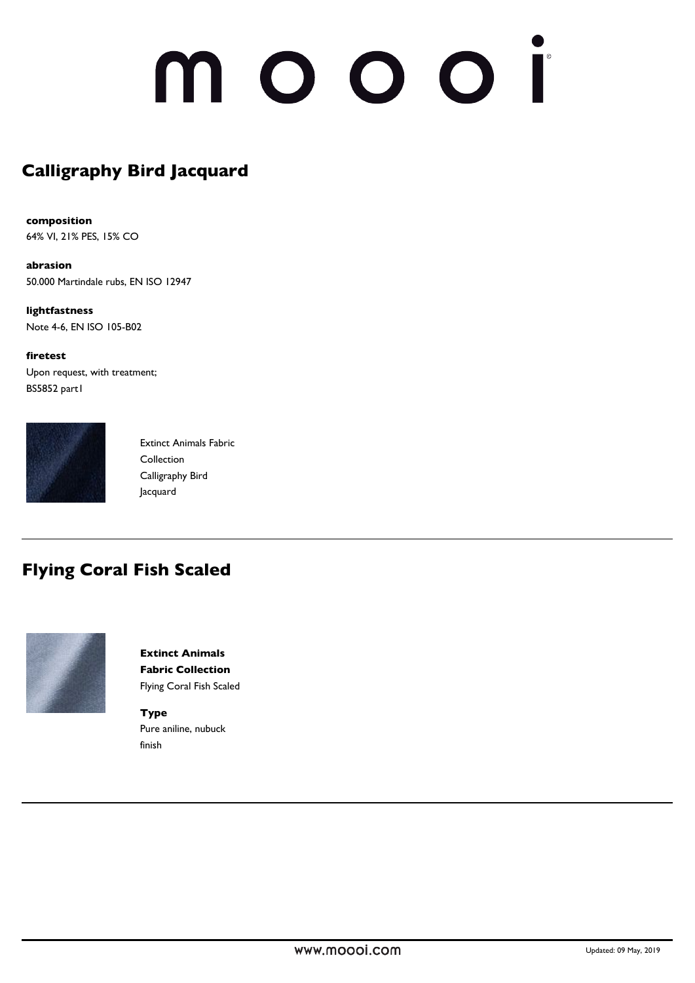# 10001

# **Calligraphy Bird Jacquard**

**composition** 64% VI, 21% PES, 15% CO

**abrasion** 50.000 Martindale rubs, EN ISO 12947

**lightfastness**  Note 4-6, EN ISO 105-B02

**firetest** Upon request, with treatment; BS5852 part1



Extinct Animals Fabric **Collection** Calligraphy Bird Jacquard

## **Flying Coral Fish Scaled**



**Extinct Animals Fabric Collection** Flying Coral Fish Scaled

**Type** Pure aniline, nubuck finish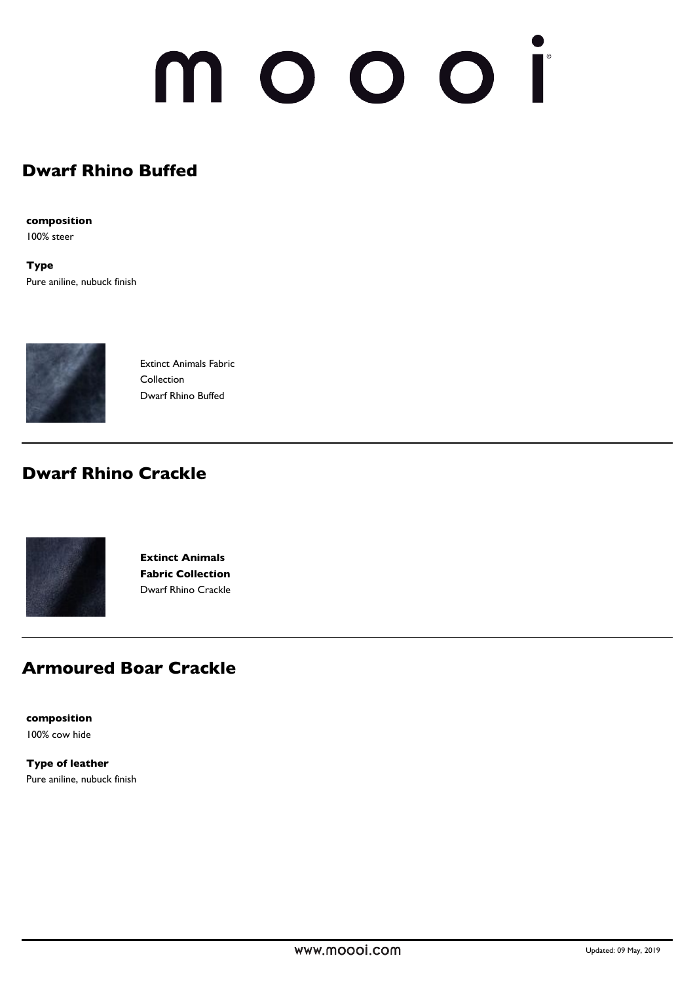# NOOOI

## **Dwarf Rhino Buffed**

**composition**

100% steer

**Type** Pure aniline, nubuck finish



Extinct Animals Fabric Collection Dwarf Rhino Buffed

## **Dwarf Rhino Crackle**



**Extinct Animals Fabric Collection** Dwarf Rhino Crackle

## **Armoured Boar Crackle**

**composition** 100% cow hide

**Type of leather** Pure aniline, nubuck finish